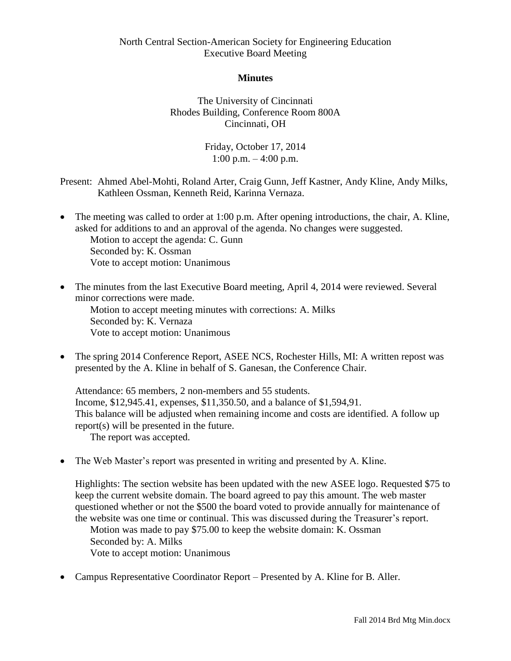#### **Minutes**

The University of Cincinnati Rhodes Building, Conference Room 800A Cincinnati, OH

> Friday, October 17, 2014  $1:00 \text{ p.m.} - 4:00 \text{ p.m.}$

Present: Ahmed Abel-Mohti, Roland Arter, Craig Gunn, Jeff Kastner, Andy Kline, Andy Milks, Kathleen Ossman, Kenneth Reid, Karinna Vernaza.

- The meeting was called to order at 1:00 p.m. After opening introductions, the chair, A. Kline, asked for additions to and an approval of the agenda. No changes were suggested. Motion to accept the agenda: C. Gunn Seconded by: K. Ossman Vote to accept motion: Unanimous
- The minutes from the last Executive Board meeting, April 4, 2014 were reviewed. Several minor corrections were made. Motion to accept meeting minutes with corrections: A. Milks

Seconded by: K. Vernaza Vote to accept motion: Unanimous

• The spring 2014 Conference Report, ASEE NCS, Rochester Hills, MI: A written repost was presented by the A. Kline in behalf of S. Ganesan, the Conference Chair.

Attendance: 65 members, 2 non-members and 55 students. Income, \$12,945.41, expenses, \$11,350.50, and a balance of \$1,594,91. This balance will be adjusted when remaining income and costs are identified. A follow up report(s) will be presented in the future. The report was accepted.

• The Web Master's report was presented in writing and presented by A. Kline.

Highlights: The section website has been updated with the new ASEE logo. Requested \$75 to keep the current website domain. The board agreed to pay this amount. The web master questioned whether or not the \$500 the board voted to provide annually for maintenance of the website was one time or continual. This was discussed during the Treasurer's report. Motion was made to pay \$75.00 to keep the website domain: K. Ossman Seconded by: A. Milks Vote to accept motion: Unanimous

Campus Representative Coordinator Report – Presented by A. Kline for B. Aller.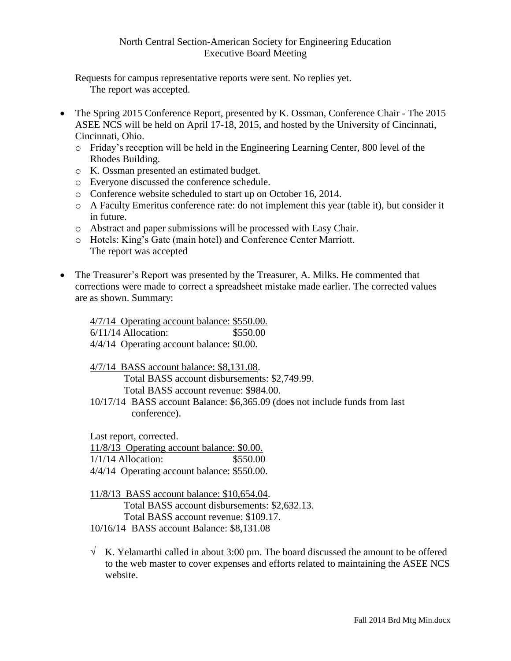Requests for campus representative reports were sent. No replies yet. The report was accepted.

- The Spring 2015 Conference Report, presented by K. Ossman, Conference Chair The 2015 ASEE NCS will be held on April 17-18, 2015, and hosted by the University of Cincinnati, Cincinnati, Ohio.
	- o Friday's reception will be held in the Engineering Learning Center, 800 level of the Rhodes Building.
	- o K. Ossman presented an estimated budget.
	- o Everyone discussed the conference schedule.
	- o Conference website scheduled to start up on October 16, 2014.
	- o A Faculty Emeritus conference rate: do not implement this year (table it), but consider it in future.
	- o Abstract and paper submissions will be processed with Easy Chair.
	- o Hotels: King's Gate (main hotel) and Conference Center Marriott. The report was accepted
- The Treasurer's Report was presented by the Treasurer, A. Milks. He commented that corrections were made to correct a spreadsheet mistake made earlier. The corrected values are as shown. Summary:

4/7/14 Operating account balance: \$550.00. 6/11/14 Allocation: \$550.00 4/4/14 Operating account balance: \$0.00.

4/7/14 BASS account balance: \$8,131.08. Total BASS account disbursements: \$2,749.99.

Total BASS account revenue: \$984.00.

10/17/14 BASS account Balance: \$6,365.09 (does not include funds from last conference).

Last report, corrected.

11/8/13 Operating account balance: \$0.00. 1/1/14 Allocation: \$550.00

4/4/14 Operating account balance: \$550.00.

11/8/13 BASS account balance: \$10,654.04.

Total BASS account disbursements: \$2,632.13.

Total BASS account revenue: \$109.17.

10/16/14 BASS account Balance: \$8,131.08

 $\sqrt{K}$ . Yelamarthi called in about 3:00 pm. The board discussed the amount to be offered to the web master to cover expenses and efforts related to maintaining the ASEE NCS website.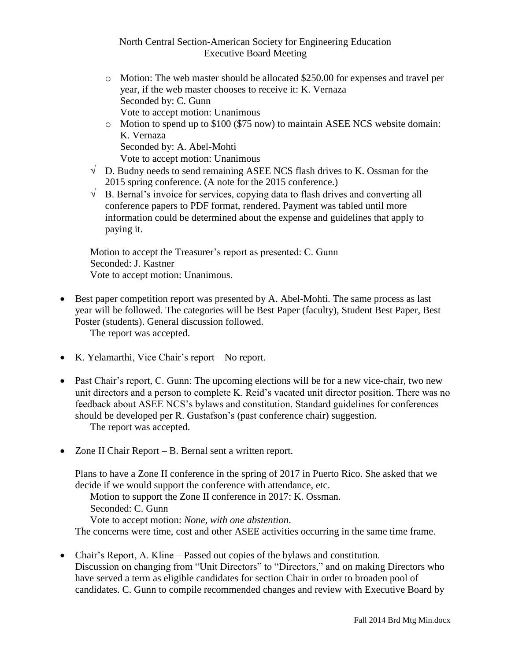- o Motion: The web master should be allocated \$250.00 for expenses and travel per year, if the web master chooses to receive it: K. Vernaza Seconded by: C. Gunn Vote to accept motion: Unanimous
- o Motion to spend up to \$100 (\$75 now) to maintain ASEE NCS website domain: K. Vernaza Seconded by: A. Abel-Mohti Vote to accept motion: Unanimous
- $\sqrt{\phantom{a}}$  D. Budny needs to send remaining ASEE NCS flash drives to K. Ossman for the 2015 spring conference. (A note for the 2015 conference.)
- $\sqrt{B}$ . Bernal's invoice for services, copying data to flash drives and converting all conference papers to PDF format, rendered. Payment was tabled until more information could be determined about the expense and guidelines that apply to paying it.

Motion to accept the Treasurer's report as presented: C. Gunn Seconded: J. Kastner Vote to accept motion: Unanimous.

• Best paper competition report was presented by A. Abel-Mohti. The same process as last year will be followed. The categories will be Best Paper (faculty), Student Best Paper, Best Poster (students). General discussion followed.

The report was accepted.

- K. Yelamarthi, Vice Chair's report No report.
- Past Chair's report, C. Gunn: The upcoming elections will be for a new vice-chair, two new unit directors and a person to complete K. Reid's vacated unit director position. There was no feedback about ASEE NCS's bylaws and constitution. Standard guidelines for conferences should be developed per R. Gustafson's (past conference chair) suggestion. The report was accepted.
- Zone II Chair Report B. Bernal sent a written report.

Plans to have a Zone II conference in the spring of 2017 in Puerto Rico. She asked that we decide if we would support the conference with attendance, etc.

Motion to support the Zone II conference in 2017: K. Ossman. Seconded: C. Gunn Vote to accept motion: *None, with one abstention*.

The concerns were time, cost and other ASEE activities occurring in the same time frame.

 Chair's Report, A. Kline – Passed out copies of the bylaws and constitution. Discussion on changing from "Unit Directors" to "Directors," and on making Directors who have served a term as eligible candidates for section Chair in order to broaden pool of candidates. C. Gunn to compile recommended changes and review with Executive Board by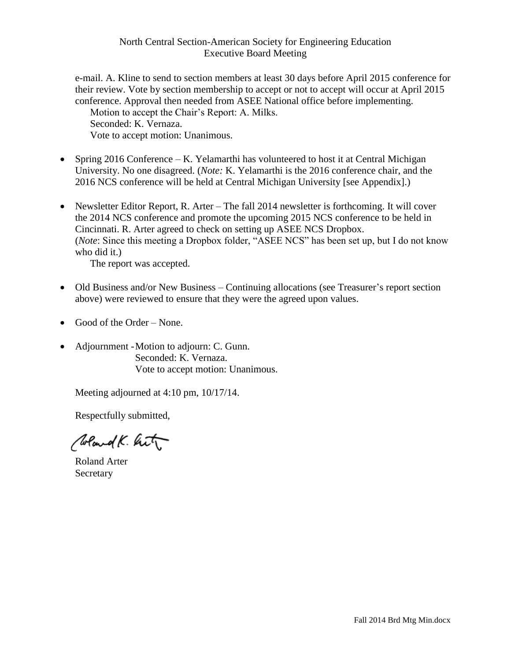e-mail. A. Kline to send to section members at least 30 days before April 2015 conference for their review. Vote by section membership to accept or not to accept will occur at April 2015 conference. Approval then needed from ASEE National office before implementing.

Motion to accept the Chair's Report: A. Milks. Seconded: K. Vernaza.

Vote to accept motion: Unanimous.

- Spring 2016 Conference K. Yelamarthi has volunteered to host it at Central Michigan University. No one disagreed. (*Note:* K. Yelamarthi is the 2016 conference chair, and the 2016 NCS conference will be held at Central Michigan University [see Appendix].)
- Newsletter Editor Report, R. Arter The fall 2014 newsletter is forthcoming. It will cover the 2014 NCS conference and promote the upcoming 2015 NCS conference to be held in Cincinnati. R. Arter agreed to check on setting up ASEE NCS Dropbox. (*Note*: Since this meeting a Dropbox folder, "ASEE NCS" has been set up, but I do not know who did it.)

The report was accepted.

- Old Business and/or New Business Continuing allocations (see Treasurer's report section above) were reviewed to ensure that they were the agreed upon values.
- Good of the Order None.
- Adjournment Motion to adjourn: C. Gunn. Seconded: K. Vernaza. Vote to accept motion: Unanimous.

Meeting adjourned at 4:10 pm, 10/17/14.

Respectfully submitted,

Weard K. hit

Roland Arter **Secretary**